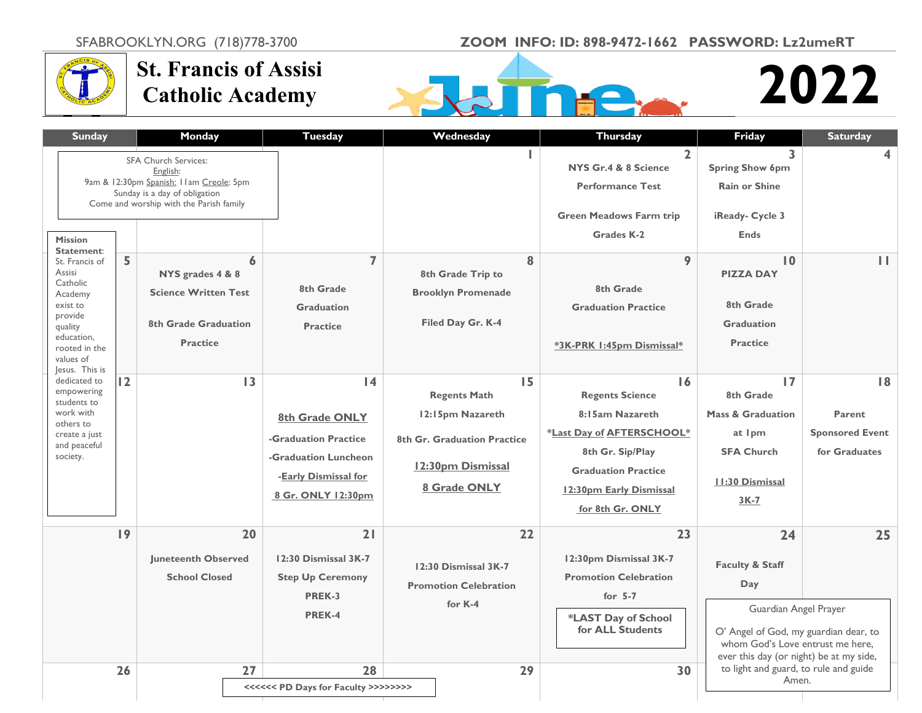SFABROOKLYN.ORG (718)778-3700 **ZOOM INFO: ID: 898-9472-1662 PASSWORD: Lz2umeRT**



## **St. Francis of Assisi Catholic Academy**



## **M 2022**

| <b>Sunday</b>                                                                                                                                                 |                | Monday                                                                                                                                                          | <b>Tuesday</b>                                                                                                    | Wednesday                                                                                                         | <b>Thursday</b>                                                                                                                                                               | Friday                                                                                                                                                                                   | <b>Saturday</b>                                         |
|---------------------------------------------------------------------------------------------------------------------------------------------------------------|----------------|-----------------------------------------------------------------------------------------------------------------------------------------------------------------|-------------------------------------------------------------------------------------------------------------------|-------------------------------------------------------------------------------------------------------------------|-------------------------------------------------------------------------------------------------------------------------------------------------------------------------------|------------------------------------------------------------------------------------------------------------------------------------------------------------------------------------------|---------------------------------------------------------|
| <b>Mission</b>                                                                                                                                                |                | <b>SFA Church Services:</b><br>English:<br>9am & 12:30pm Spanish: I Iam Creole: 5pm<br>Sunday is a day of obligation<br>Come and worship with the Parish family |                                                                                                                   |                                                                                                                   | $\overline{2}$<br>NYS Gr.4 & 8 Science<br><b>Performance Test</b><br><b>Green Meadows Farm trip</b><br><b>Grades K-2</b>                                                      | $\overline{\mathbf{3}}$<br><b>Spring Show 6pm</b><br><b>Rain or Shine</b><br>iReady- Cycle 3<br><b>Ends</b>                                                                              | 4                                                       |
| Statement:<br>St. Francis of<br>Assisi<br>Catholic<br>Academy<br>exist to<br>provide<br>quality<br>education,<br>rooted in the<br>values of<br>Jesus. This is | 5              | 6<br>NYS grades 4 & 8<br><b>Science Written Test</b><br>8th Grade Graduation<br><b>Practice</b>                                                                 | $\overline{7}$<br>8th Grade<br><b>Graduation</b><br><b>Practice</b>                                               | 8<br>8th Grade Trip to<br><b>Brooklyn Promenade</b><br>Filed Day Gr. K-4                                          | 9<br>8th Grade<br><b>Graduation Practice</b><br>*3K-PRK 1:45pm Dismissal*                                                                                                     | $\mathbf{I}$<br><b>PIZZA DAY</b><br>8th Grade<br><b>Graduation</b><br><b>Practice</b>                                                                                                    | $\mathbf{H}$                                            |
| dedicated to<br>empowering<br>students to<br>work with<br>others to<br>create a just<br>and peaceful<br>society.                                              | $\overline{2}$ | $\overline{13}$                                                                                                                                                 | 4<br>8th Grade ONLY<br>-Graduation Practice<br>-Graduation Luncheon<br>-Early Dismissal for<br>8 Gr. ONLY 12:30pm | 15<br><b>Regents Math</b><br>12:15pm Nazareth<br>8th Gr. Graduation Practice<br>12:30pm Dismissal<br>8 Grade ONLY | 16<br><b>Regents Science</b><br>8:15am Nazareth<br>*Last Day of AFTERSCHOOL*<br>8th Gr. Sip/Play<br><b>Graduation Practice</b><br>12:30pm Early Dismissal<br>for 8th Gr. ONLY | $\overline{17}$<br>8th Grade<br><b>Mass &amp; Graduation</b><br>at Ipm<br><b>SFA Church</b><br><b>11:30 Dismissal</b><br>$3K-7$                                                          | 8 <br>Parent<br><b>Sponsored Event</b><br>for Graduates |
|                                                                                                                                                               | 9              | 20<br><b>Juneteenth Observed</b><br><b>School Closed</b>                                                                                                        | 21<br>12:30 Dismissal 3K-7<br><b>Step Up Ceremony</b><br>PREK-3<br>PREK-4                                         | 22<br>12:30 Dismissal 3K-7<br><b>Promotion Celebration</b><br>for K-4                                             | 23<br>12:30pm Dismissal 3K-7<br><b>Promotion Celebration</b><br>for $5-7$<br>*LAST Day of School<br>for ALL Students                                                          | 24<br><b>Faculty &amp; Staff</b><br>Day<br>Guardian Angel Prayer<br>O' Angel of God, my guardian dear, to<br>whom God's Love entrust me here,<br>ever this day (or night) be at my side, | 25                                                      |
|                                                                                                                                                               | 26             | 27                                                                                                                                                              | 28<br><<<<<< PD Days for Faculty >>>>>>>>>>>>>>>>>>>>>>>>                                                         | 29                                                                                                                | 30                                                                                                                                                                            | to light and guard, to rule and guide<br>Amen.                                                                                                                                           |                                                         |